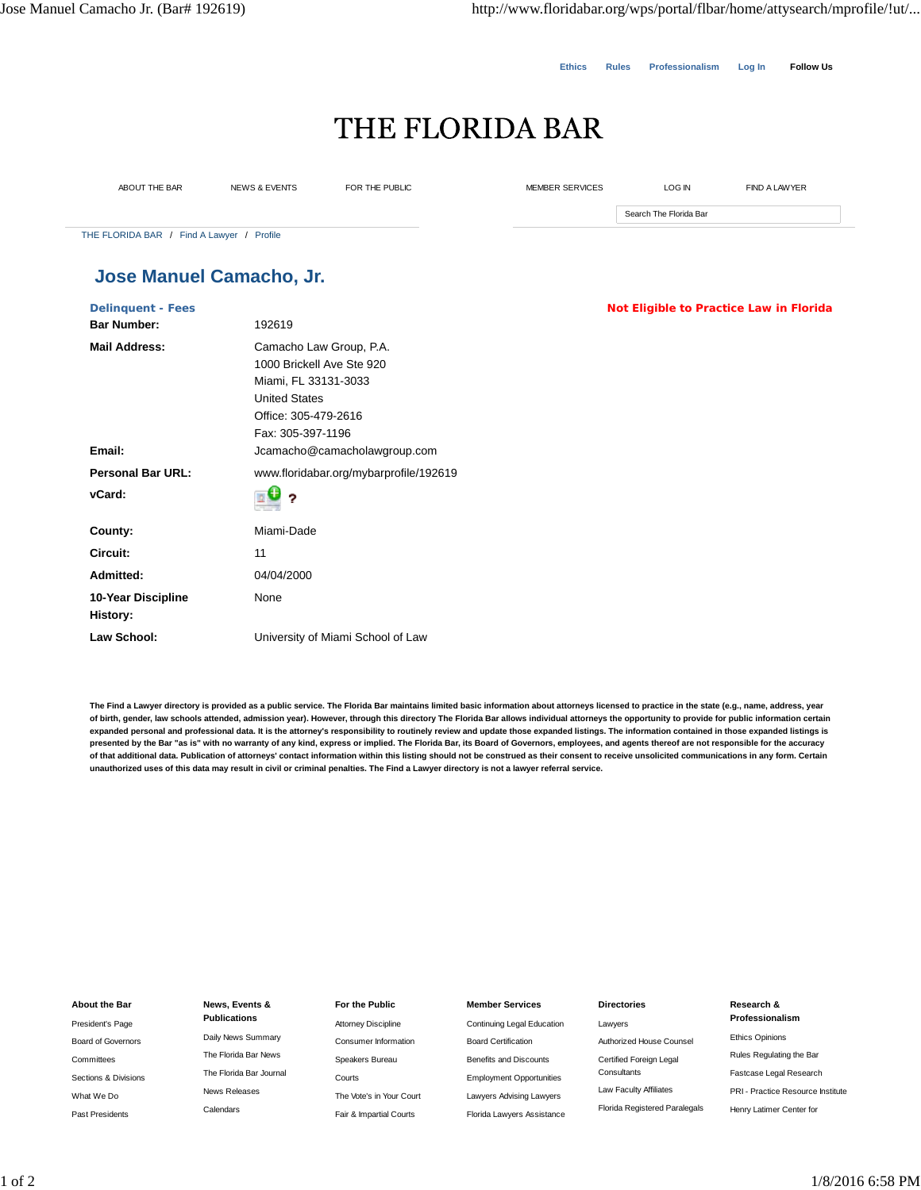**Ethics Rules Professionalism Log In Follow Us**

# THE FLORIDA BAR

ABOUT THE BAR NEWS & EVENTS FOR THE PUBLIC MEMBER SERVICES LOG IN FIND A LAWYER

Search The Florida Bar

THE FLORIDA BAR / Find A Lawyer / Profile

## **Jose Manuel Camacho, Jr.**

|                                        | Not Eligible to Practice Law in Florida |  |  |  |
|----------------------------------------|-----------------------------------------|--|--|--|
| 192619                                 |                                         |  |  |  |
| Camacho Law Group, P.A.                |                                         |  |  |  |
| 1000 Brickell Ave Ste 920              |                                         |  |  |  |
| Miami, FL 33131-3033                   |                                         |  |  |  |
| <b>United States</b>                   |                                         |  |  |  |
| Office: 305-479-2616                   |                                         |  |  |  |
| Fax: 305-397-1196                      |                                         |  |  |  |
| Jcamacho@camacholawgroup.com           |                                         |  |  |  |
| www.floridabar.org/mybarprofile/192619 |                                         |  |  |  |
| Ŧ<br>?                                 |                                         |  |  |  |
| Miami-Dade                             |                                         |  |  |  |
| 11                                     |                                         |  |  |  |
| 04/04/2000                             |                                         |  |  |  |
| None                                   |                                         |  |  |  |
|                                        |                                         |  |  |  |
| University of Miami School of Law      |                                         |  |  |  |
|                                        |                                         |  |  |  |

**The Find a Lawyer directory is provided as a public service. The Florida Bar maintains limited basic information about attorneys licensed to practice in the state (e.g., name, address, year of birth, gender, law schools attended, admission year). However, through this directory The Florida Bar allows individual attorneys the opportunity to provide for public information certain** expanded personal and professional data. It is the attorney's responsibility to routinely review and update those expanded listings. The information contained in those expanded listings is **presented by the Bar "as is" with no warranty of any kind, express or implied. The Florida Bar, its Board of Governors, employees, and agents thereof are not responsible for the accuracy of that additional data. Publication of attorneys' contact information within this listing should not be construed as their consent to receive unsolicited communications in any form. Certain unauthorized uses of this data may result in civil or criminal penalties. The Find a Lawyer directory is not a lawyer referral service.**

#### **About the Bar**

President's Page Board of Governors Committees Sections & Divisions What We Do Past Presidents

### **News, Events & Publications** Daily News Summary The Florida Bar News The Florida Bar Journal News Releases Calendars

### **For the Public** Attorney Discipline Consumer Information Speakers Bureau Courts The Vote's in Your Court Fair & Impartial Courts

#### **Member Services**

Continuing Legal Education Board Certification Benefits and Discounts Employment Opportunities Lawyers Advising Lawyers Florida Lawyers Assistance

#### **Directories**

Lawyers Authorized House Counsel Certified Foreign Legal **Consultants** Law Faculty Affiliates Florida Registered Paralegals

#### **Research &**

- **Professionalism**
- Ethics Opinions Rules Regulating the Bar Fastcase Legal Research PRI - Practice Resource Institute

Henry Latimer Center for